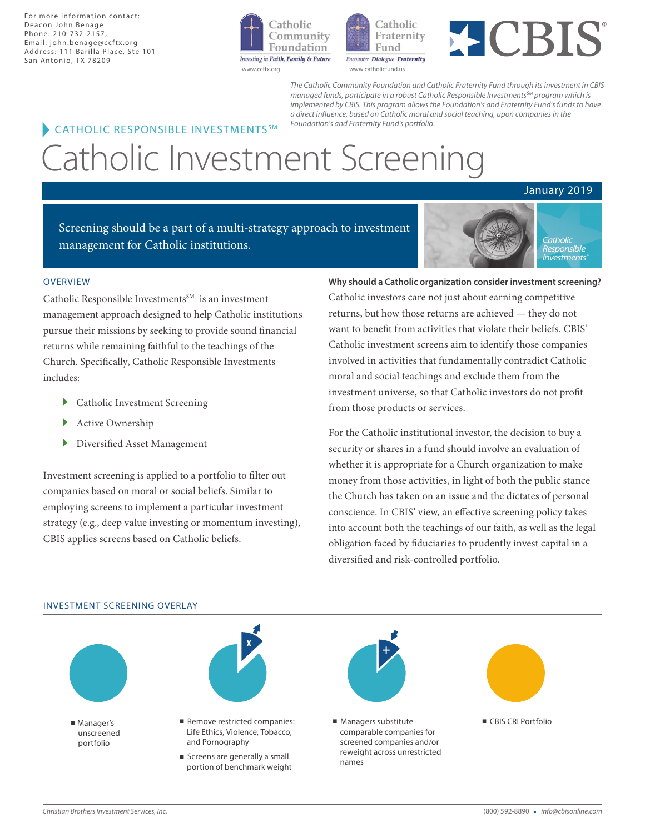For more information contact: Deacon John Benage Phone: 210-732-2157, Email: john.benage@ccftx.org Address: 111 Barilla Place, Ste 101 San Antonio, TX 78209







The Catholic Community Foundation and Catholic Fraternity Fund *through* its *investment in CBIS managed funds, participate in a robust Catholic Responsible Inve*stment*s* <sup>S</sup>*<sup>M</sup> program which is implemented by CBIS. This* program *allows the* Foundation's and Fraternity Fund*'s funds to* have a *direct influence*, based on Catholic moral and social teaching, upon *companies* in the

# Catholic Investment Screening **CATHOLIC RESPONSIBLE INVESTMENTS<sup>SM</sup>** Foundation's and Fraternity Fund's portfolio.

## January 2019

Screening should be a part of a multi-strategy approach to investment management for Catholic institutions.



#### **OVERVIEW**

Catholic Responsible Investments $^{SM}$  is an investment management approach designed to help Catholic institutions pursue their missions by seeking to provide sound financial returns while remaining faithful to the teachings of the Church. Specifically, Catholic Responsible Investments includes:

- } Catholic Investment Screening
- } Active Ownership
- } Diversified Asset Management

Investment screening is applied to a portfolio to filter out companies based on moral or social beliefs. Similar to employing screens to implement a particular investment strategy (e.g., deep value investing or momentum investing), CBIS applies screens based on Catholic beliefs.

**Why should a Catholic organization consider investment screening?**

Catholic investors care not just about earning competitive returns, but how those returns are achieved — they do not want to benefit from activities that violate their beliefs. CBIS' Catholic investment screens aim to identify those companies involved in activities that fundamentally contradict Catholic moral and social teachings and exclude them from the investment universe, so that Catholic investors do not profit from those products or services.

For the Catholic institutional investor, the decision to buy a security or shares in a fund should involve an evaluation of whether it is appropriate for a Church organization to make money from those activities, in light of both the public stance the Church has taken on an issue and the dictates of personal conscience. In CBIS' view, an effective screening policy takes into account both the teachings of our faith, as well as the legal obligation faced by fiduciaries to prudently invest capital in a diversified and risk-controlled portfolio.

#### INVESTMENT SCREENING OVERLAY

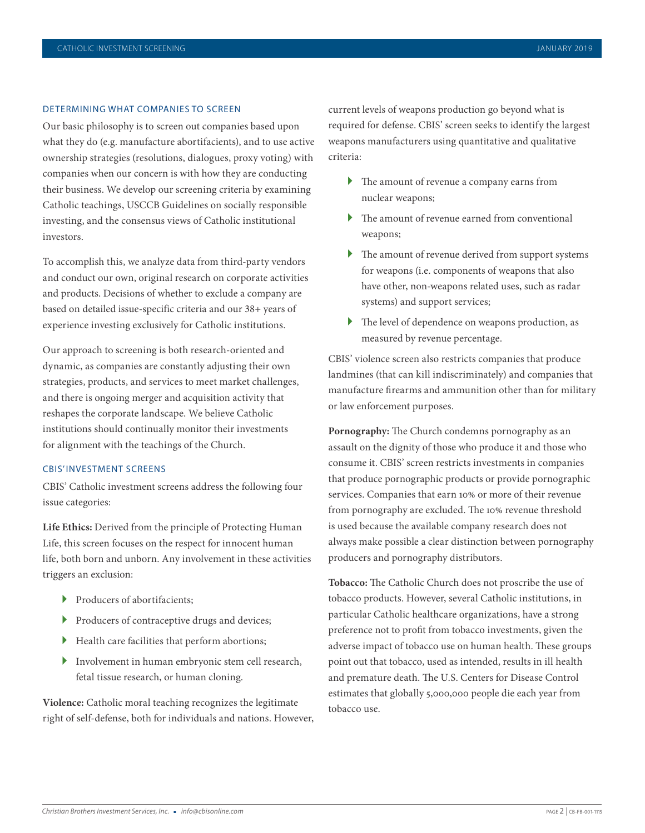#### DETERMINING WHAT COMPANIES TO SCREEN

Our basic philosophy is to screen out companies based upon what they do (e.g. manufacture abortifacients), and to use active ownership strategies (resolutions, dialogues, proxy voting) with companies when our concern is with how they are conducting their business. We develop our screening criteria by examining Catholic teachings, USCCB Guidelines on socially responsible investing, and the consensus views of Catholic institutional investors.

To accomplish this, we analyze data from third-party vendors and conduct our own, original research on corporate activities and products. Decisions of whether to exclude a company are based on detailed issue-specific criteria and our 38+ years of experience investing exclusively for Catholic institutions.

Our approach to screening is both research-oriented and dynamic, as companies are constantly adjusting their own strategies, products, and services to meet market challenges, and there is ongoing merger and acquisition activity that reshapes the corporate landscape. We believe Catholic institutions should continually monitor their investments for alignment with the teachings of the Church.

#### CBIS' INVESTMENT SCREENS

CBIS' Catholic investment screens address the following four issue categories:

**Life Ethics:** Derived from the principle of Protecting Human Life, this screen focuses on the respect for innocent human life, both born and unborn. Any involvement in these activities triggers an exclusion:

- ▶ Producers of abortifacients;
- } Producers of contraceptive drugs and devices;
- } Health care facilities that perform abortions;
- } Involvement in human embryonic stem cell research, fetal tissue research, or human cloning.

**Violence:** Catholic moral teaching recognizes the legitimate right of self-defense, both for individuals and nations. However, current levels of weapons production go beyond what is required for defense. CBIS' screen seeks to identify the largest weapons manufacturers using quantitative and qualitative criteria:

- } The amount of revenue a company earns from nuclear weapons;
- } The amount of revenue earned from conventional weapons;
- } The amount of revenue derived from support systems for weapons (i.e. components of weapons that also have other, non-weapons related uses, such as radar systems) and support services;
- } The level of dependence on weapons production, as measured by revenue percentage.

CBIS' violence screen also restricts companies that produce landmines (that can kill indiscriminately) and companies that manufacture firearms and ammunition other than for military or law enforcement purposes.

**Pornography:** The Church condemns pornography as an assault on the dignity of those who produce it and those who consume it. CBIS' screen restricts investments in companies that produce pornographic products or provide pornographic services. Companies that earn 10% or more of their revenue from pornography are excluded. The 10% revenue threshold is used because the available company research does not always make possible a clear distinction between pornography producers and pornography distributors.

**Tobacco:** The Catholic Church does not proscribe the use of tobacco products. However, several Catholic institutions, in particular Catholic healthcare organizations, have a strong preference not to profit from tobacco investments, given the adverse impact of tobacco use on human health. These groups point out that tobacco, used as intended, results in ill health and premature death. The U.S. Centers for Disease Control estimates that globally 5,000,000 people die each year from tobacco use.